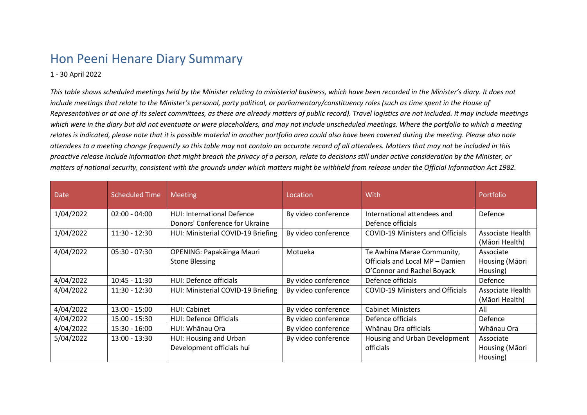## Hon Peeni Henare Diary Summary

## 1 - 30 April 2022

*This table shows scheduled meetings held by the Minister relating to ministerial business, which have been recorded in the Minister's diary. It does not include meetings that relate to the Minister's personal, party political, or parliamentary/constituency roles (such as time spent in the House of Representatives or at one of its select committees, as these are already matters of public record). Travel logistics are not included. It may include meetings which were in the diary but did not eventuate or were placeholders, and may not include unscheduled meetings. Where the portfolio to which a meeting relates is indicated, please note that it is possible material in another portfolio area could also have been covered during the meeting. Please also note attendees to a meeting change frequently so this table may not contain an accurate record of all attendees. Matters that may not be included in this proactive release include information that might breach the privacy of a person, relate to decisions still under active consideration by the Minister, or matters of national security, consistent with the grounds under which matters might be withheld from release under the Official Information Act 1982.*

| Date,     | <b>Scheduled Time</b> | <b>Meeting</b>                     | Location            | With                                    | Portfolio        |
|-----------|-----------------------|------------------------------------|---------------------|-----------------------------------------|------------------|
| 1/04/2022 | $02:00 - 04:00$       | <b>HUI: International Defence</b>  | By video conference | International attendees and             | Defence          |
|           |                       | Donors' Conference for Ukraine     |                     | Defence officials                       |                  |
| 1/04/2022 | $11:30 - 12:30$       | HUI: Ministerial COVID-19 Briefing | By video conference | <b>COVID-19 Ministers and Officials</b> | Associate Health |
|           |                       |                                    |                     |                                         | (Māori Health)   |
| 4/04/2022 | $05:30 - 07:30$       | OPENING: Papakāinga Mauri          | Motueka             | Te Awhina Marae Community,              | Associate        |
|           |                       | <b>Stone Blessing</b>              |                     | Officials and Local MP - Damien         | Housing (Māori   |
|           |                       |                                    |                     | O'Connor and Rachel Boyack              | Housing)         |
| 4/04/2022 | $10:45 - 11:30$       | HUI: Defence officials             | By video conference | Defence officials                       | Defence          |
| 4/04/2022 | $11:30 - 12:30$       | HUI: Ministerial COVID-19 Briefing | By video conference | <b>COVID-19 Ministers and Officials</b> | Associate Health |
|           |                       |                                    |                     |                                         | (Māori Health)   |
| 4/04/2022 | $13:00 - 15:00$       | HUI: Cabinet                       | By video conference | <b>Cabinet Ministers</b>                | All              |
| 4/04/2022 | $15:00 - 15:30$       | <b>HUI: Defence Officials</b>      | By video conference | Defence officials                       | Defence          |
| 4/04/2022 | $15:30 - 16:00$       | HUI: Whānau Ora                    | By video conference | Whānau Ora officials                    | Whānau Ora       |
| 5/04/2022 | $13:00 - 13:30$       | HUI: Housing and Urban             | By video conference | Housing and Urban Development           | Associate        |
|           |                       | Development officials hui          |                     | officials                               | Housing (Māori   |
|           |                       |                                    |                     |                                         | Housing)         |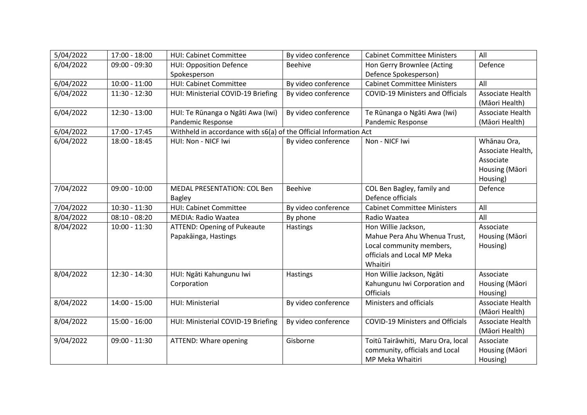| 5/04/2022 | 17:00 - 18:00   | <b>HUI: Cabinet Committee</b>                                     | By video conference | <b>Cabinet Committee Ministers</b>      | All               |  |
|-----------|-----------------|-------------------------------------------------------------------|---------------------|-----------------------------------------|-------------------|--|
| 6/04/2022 | $09:00 - 09:30$ | <b>HUI: Opposition Defence</b>                                    | Beehive             | Hon Gerry Brownlee (Acting              | Defence           |  |
|           |                 | Spokesperson                                                      |                     | Defence Spokesperson)                   |                   |  |
| 6/04/2022 | $10:00 - 11:00$ | <b>HUI: Cabinet Committee</b>                                     | By video conference | <b>Cabinet Committee Ministers</b>      | All               |  |
| 6/04/2022 | $11:30 - 12:30$ | HUI: Ministerial COVID-19 Briefing                                | By video conference | <b>COVID-19 Ministers and Officials</b> | Associate Health  |  |
|           |                 |                                                                   |                     |                                         | (Māori Health)    |  |
| 6/04/2022 | $12:30 - 13:00$ | HUI: Te Rūnanga o Ngāti Awa (Iwi)                                 | By video conference | Te Rūnanga o Ngāti Awa (Iwi)            | Associate Health  |  |
|           |                 | Pandemic Response                                                 |                     | Pandemic Response                       | (Māori Health)    |  |
| 6/04/2022 | 17:00 - 17:45   | Withheld in accordance with s6(a) of the Official Information Act |                     |                                         |                   |  |
| 6/04/2022 | $18:00 - 18:45$ | HUI: Non - NICF Iwi                                               | By video conference | Non - NICF Iwi                          | Whānau Ora,       |  |
|           |                 |                                                                   |                     |                                         | Associate Health, |  |
|           |                 |                                                                   |                     |                                         | Associate         |  |
|           |                 |                                                                   |                     |                                         | Housing (Māori    |  |
|           |                 |                                                                   |                     |                                         | Housing)          |  |
| 7/04/2022 | $09:00 - 10:00$ | <b>MEDAL PRESENTATION: COL Ben</b>                                | <b>Beehive</b>      | COL Ben Bagley, family and              | Defence           |  |
|           |                 | <b>Bagley</b>                                                     |                     | Defence officials                       |                   |  |
| 7/04/2022 | $10:30 - 11:30$ | <b>HUI: Cabinet Committee</b>                                     | By video conference | <b>Cabinet Committee Ministers</b>      | All               |  |
| 8/04/2022 | $08:10 - 08:20$ | <b>MEDIA: Radio Waatea</b>                                        | By phone            | Radio Waatea                            | All               |  |
| 8/04/2022 | $10:00 - 11:30$ | <b>ATTEND: Opening of Pukeaute</b>                                | <b>Hastings</b>     | Hon Willie Jackson,                     | Associate         |  |
|           |                 | Papakāinga, Hastings                                              |                     | Mahue Pera Ahu Whenua Trust,            | Housing (Māori    |  |
|           |                 |                                                                   |                     | Local community members,                | Housing)          |  |
|           |                 |                                                                   |                     | officials and Local MP Meka             |                   |  |
|           |                 |                                                                   |                     | Whaitiri                                |                   |  |
| 8/04/2022 | $12:30 - 14:30$ | HUI: Ngāti Kahungunu lwi                                          | Hastings            | Hon Willie Jackson, Ngāti               | Associate         |  |
|           |                 | Corporation                                                       |                     | Kahungunu Iwi Corporation and           | Housing (Māori    |  |
|           |                 |                                                                   |                     | <b>Officials</b>                        | Housing)          |  |
| 8/04/2022 | $14:00 - 15:00$ | HUI: Ministerial                                                  | By video conference | Ministers and officials                 | Associate Health  |  |
|           |                 |                                                                   |                     |                                         | (Māori Health)    |  |
| 8/04/2022 | $15:00 - 16:00$ | HUI: Ministerial COVID-19 Briefing                                | By video conference | <b>COVID-19 Ministers and Officials</b> | Associate Health  |  |
|           |                 |                                                                   |                     |                                         | (Māori Health)    |  |
| 9/04/2022 | $09:00 - 11:30$ | ATTEND: Whare opening                                             | Gisborne            | Toitū Tairāwhiti, Maru Ora, local       | Associate         |  |
|           |                 |                                                                   |                     | community, officials and Local          | Housing (Māori    |  |
|           |                 |                                                                   |                     | MP Meka Whaitiri                        | Housing)          |  |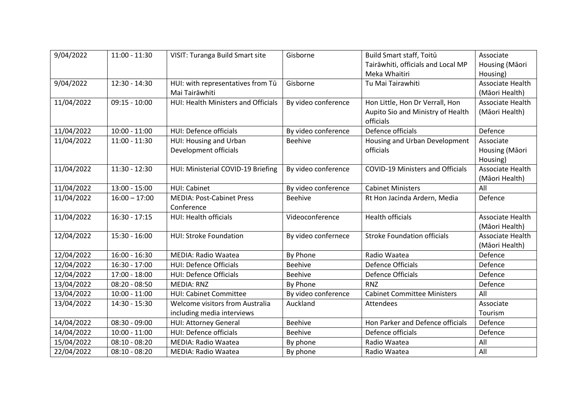| 9/04/2022  | $11:00 - 11:30$ | <b>VISIT: Turanga Build Smart site</b> | Gisborne            | Build Smart staff, Toitū                | Associate        |
|------------|-----------------|----------------------------------------|---------------------|-----------------------------------------|------------------|
|            |                 |                                        |                     | Tairāwhiti, officials and Local MP      | Housing (Māori   |
|            |                 |                                        |                     | Meka Whaitiri                           | Housing)         |
| 9/04/2022  | 12:30 - 14:30   | HUI: with representatives from Tū      | Gisborne            | Tu Mai Tairawhiti                       | Associate Health |
|            |                 | Mai Tairāwhiti                         |                     |                                         | (Māori Health)   |
| 11/04/2022 | $09:15 - 10:00$ | HUI: Health Ministers and Officials    | By video conference | Hon Little, Hon Dr Verrall, Hon         | Associate Health |
|            |                 |                                        |                     | Aupito Sio and Ministry of Health       | (Māori Health)   |
|            |                 |                                        |                     | officials                               |                  |
| 11/04/2022 | $10:00 - 11:00$ | HUI: Defence officials                 | By video conference | Defence officials                       | Defence          |
| 11/04/2022 | $11:00 - 11:30$ | HUI: Housing and Urban                 | <b>Beehive</b>      | Housing and Urban Development           | Associate        |
|            |                 | Development officials                  |                     | officials                               | Housing (Māori   |
|            |                 |                                        |                     |                                         | Housing)         |
| 11/04/2022 | $11:30 - 12:30$ | HUI: Ministerial COVID-19 Briefing     | By video conference | <b>COVID-19 Ministers and Officials</b> | Associate Health |
|            |                 |                                        |                     |                                         | (Māori Health)   |
| 11/04/2022 | $13:00 - 15:00$ | <b>HUI: Cabinet</b>                    | By video conference | <b>Cabinet Ministers</b>                | All              |
| 11/04/2022 | $16:00 - 17:00$ | <b>MEDIA: Post-Cabinet Press</b>       | Beehive             | Rt Hon Jacinda Ardern, Media            | Defence          |
|            |                 | Conference                             |                     |                                         |                  |
| 11/04/2022 | $16:30 - 17:15$ | HUI: Health officials                  | Videoconference     | <b>Health officials</b>                 | Associate Health |
|            |                 |                                        |                     |                                         | (Māori Health)   |
| 12/04/2022 | $15:30 - 16:00$ | <b>HUI: Stroke Foundation</b>          | By video confernece | <b>Stroke Foundation officials</b>      | Associate Health |
|            |                 |                                        |                     |                                         | (Māori Health)   |
| 12/04/2022 | $16:00 - 16:30$ | <b>MEDIA: Radio Waatea</b>             | <b>By Phone</b>     | Radio Waatea                            | Defence          |
| 12/04/2022 | 16:30 - 17:00   | <b>HUI: Defence Officials</b>          | <b>Beehive</b>      | <b>Defence Officials</b>                | Defence          |
| 12/04/2022 | 17:00 - 18:00   | <b>HUI: Defence Officials</b>          | Beehive             | Defence Officials                       | Defence          |
| 13/04/2022 | $08:20 - 08:50$ | <b>MEDIA: RNZ</b>                      | By Phone            | <b>RNZ</b>                              | Defence          |
| 13/04/2022 | $10:00 - 11:00$ | <b>HUI: Cabinet Committee</b>          | By video conference | <b>Cabinet Committee Ministers</b>      | All              |
| 13/04/2022 | 14:30 - 15:30   | Welcome visitors from Australia        | Auckland            | Attendees                               | Associate        |
|            |                 | including media interviews             |                     |                                         | Tourism          |
| 14/04/2022 | $08:30 - 09:00$ | HUI: Attorney General                  | Beehive             | Hon Parker and Defence officials        | Defence          |
| 14/04/2022 | $10:00 - 11:00$ | HUI: Defence officials                 | Beehive             | Defence officials                       | Defence          |
| 15/04/2022 | $08:10 - 08:20$ | <b>MEDIA: Radio Waatea</b>             | By phone            | Radio Waatea                            | All              |
| 22/04/2022 | $08:10 - 08:20$ | <b>MEDIA: Radio Waatea</b>             | By phone            | Radio Waatea                            | All              |